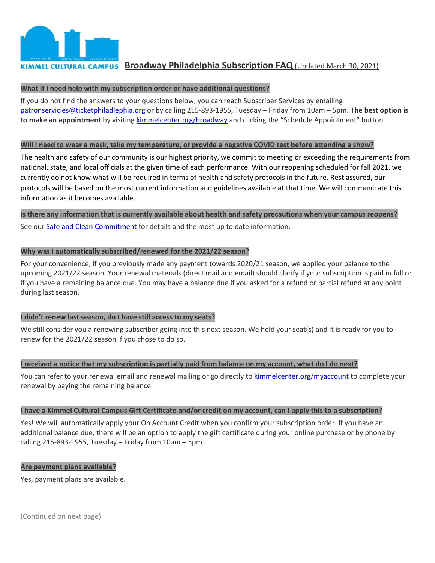

# **KIMMEL CULTURAL CAMPUS Broadway Philadelphia Subscription FAQ** (Updated March 30, 2021)

#### **What if I need help with my subscription order or have additional questions?**

If you do not find the answers to your questions below, you can reach Subscriber Services by emailing [patronservicies@ticketphiladlephia.org](mailto:patronservicies@ticketphiladlephia.org) or by calling 215-893-1955, Tuesday – Friday from 10am – 5pm. **The best option is to make an appointment** by visiting kimmelcenter.org/broadway and clicking the "Schedule Appointment" button.

#### **Will I need to wear a mask, take my temperature, or provide a negative COVID test before attending a show?**

The health and safety of our community is our highest priority, we commit to meeting or exceeding the requirements from national, state, and local officials at the given time of each performance. With our reopening scheduled for fall 2021, we currently do not know what will be required in terms of health and safety protocols in the future. Rest assured, our protocols will be based on the most current information and guidelines available at that time. We will communicate this information as it becomes available.

#### **Is there any information that is currently available about health and safety precautions when your campus reopens?**

See our [Safe and Clean Commitment](https://www.kimmelcenter.org/plan-your-visit/safe-clean-commitment/) for details and the most up to date information.

# **Why was I automatically subscribed/renewed for the 2021/22 season?**

For your convenience, if you previously made any payment towards 2020/21 season, we applied your balance to the upcoming 2021/22 season. Your renewal materials (direct mail and email) should clarify if your subscription is paid in full or if you have a remaining balance due. You may have a balance due if you asked for a refund or partial refund at any point during last season.

# **I didn't renew last season, do I have still access to my seats?**

We still consider you a renewing subscriber going into this next season. We held your seat(s) and it is ready for you to renew for the 2021/22 season if you chose to do so.

# **I received a notice that my subscription is partially paid from balance on my account, what do I do next?**

You can refer to your renewal email and renewal mailing or go directly to [kimmelcenter.org/myaccount](https://www.kimmelcenter.org/account/login/) to complete your renewal by paying the remaining balance.

# **I have a Kimmel Cultural Campus Gift Certificate and/or credit on my account, can I apply this to a subscription?**

Yes! We will automatically apply your On Account Credit when you confirm your subscription order. If you have an additional balance due, there will be an option to apply the gift certificate during your online purchase or by phone by calling 215-893-1955, Tuesday – Friday from 10am – 5pm.

# **Are payment plans available?**

Yes, payment plans are available.